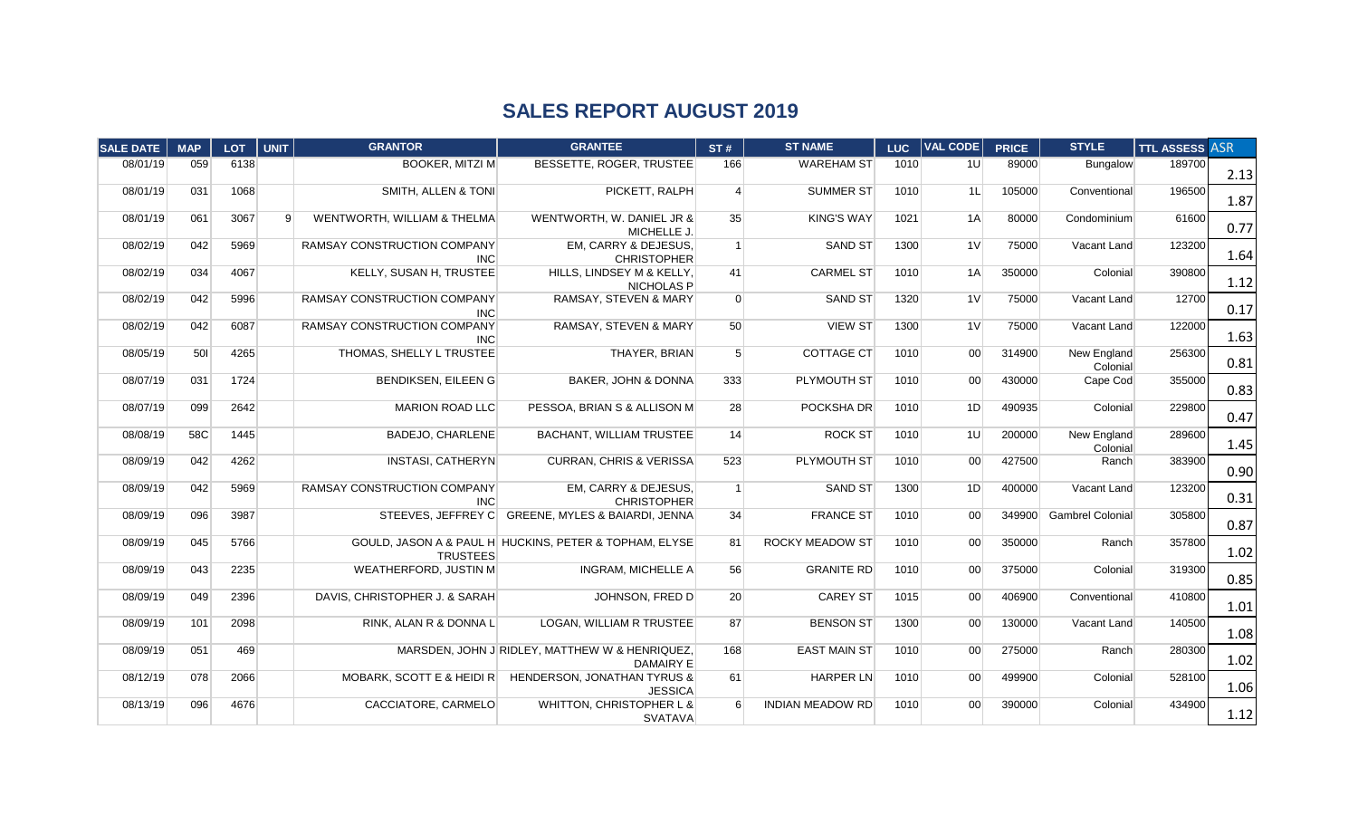## **SALES REPORT AUGUST 2019**

| SALE DATE | <b>MAP</b> | <b>LOT</b> | <b>UNIT</b>    | <b>GRANTOR</b>                                   | <b>GRANTEE</b>                                              | ST#            | <b>ST NAME</b>          | <b>LUC</b> | <b>VAL CODE</b> | <b>PRICE</b> | <b>STYLE</b>            | <b>TTL ASSESS ASR</b> |      |
|-----------|------------|------------|----------------|--------------------------------------------------|-------------------------------------------------------------|----------------|-------------------------|------------|-----------------|--------------|-------------------------|-----------------------|------|
| 08/01/19  | 059        | 6138       |                | <b>BOOKER, MITZI M</b>                           | BESSETTE, ROGER, TRUSTEE                                    | 166            | <b>WAREHAM ST</b>       | 1010       | 1U              | 89000        | Bungalow                | 189700                | 2.13 |
| 08/01/19  | 031        | 1068       |                | <b>SMITH, ALLEN &amp; TONI</b>                   | PICKETT, RALPH                                              | $\overline{4}$ | <b>SUMMER ST</b>        | 1010       | 1L              | 105000       | Conventional            | 196500                | 1.87 |
| 08/01/19  | 061        | 3067       | $\overline{9}$ | <b>WENTWORTH, WILLIAM &amp; THELMA</b>           | WENTWORTH, W. DANIEL JR &<br>MICHELLE J.                    | 35             | <b>KING'S WAY</b>       | 1021       | 1A              | 80000        | Condominium             | 61600                 | 0.77 |
| 08/02/19  | 042        | 5969       |                | RAMSAY CONSTRUCTION COMPANY<br><b>INC</b>        | EM, CARRY & DEJESUS,<br><b>CHRISTOPHER</b>                  | $\overline{1}$ | <b>SAND ST</b>          | 1300       | 1 <sup>V</sup>  | 75000        | Vacant Land             | 123200                | 1.64 |
| 08/02/19  | 034        | 4067       |                | KELLY, SUSAN H, TRUSTEE                          | HILLS, LINDSEY M & KELLY,<br><b>NICHOLAS P</b>              | 41             | <b>CARMEL ST</b>        | 1010       | 1A              | 350000       | Colonial                | 390800                | 1.12 |
| 08/02/19  | 042        | 5996       |                | <b>RAMSAY CONSTRUCTION COMPANY</b><br><b>INC</b> | <b>RAMSAY, STEVEN &amp; MARY</b>                            | $\Omega$       | <b>SAND ST</b>          | 1320       | 1 <sub>V</sub>  | 75000        | Vacant Land             | 12700                 | 0.17 |
| 08/02/19  | 042        | 6087       |                | RAMSAY CONSTRUCTION COMPANY<br><b>INC</b>        | RAMSAY, STEVEN & MARY                                       | 50             | <b>VIEW ST</b>          | 1300       | 1 <sup>V</sup>  | 75000        | Vacant Land             | 122000                | 1.63 |
| 08/05/19  | 501        | 4265       |                | THOMAS, SHELLY L TRUSTEE                         | THAYER, BRIAN                                               | 5 <sup>5</sup> | <b>COTTAGE CT</b>       | 1010       | 00 <sup>1</sup> | 314900       | New England<br>Colonial | 256300                | 0.81 |
| 08/07/19  | 031        | 1724       |                | <b>BENDIKSEN, EILEEN G</b>                       | <b>BAKER, JOHN &amp; DONNA</b>                              | 333            | PLYMOUTH ST             | 1010       | 00 <sup>1</sup> | 430000       | Cape Cod                | 355000                | 0.83 |
| 08/07/19  | 099        | 2642       |                | <b>MARION ROAD LLC</b>                           | PESSOA, BRIAN S & ALLISON M                                 | 28             | POCKSHA DR              | 1010       | 1D              | 490935       | Colonial                | 229800                | 0.47 |
| 08/08/19  | 58C        | 1445       |                | <b>BADEJO, CHARLENE</b>                          | <b>BACHANT, WILLIAM TRUSTEE</b>                             | 14             | <b>ROCK ST</b>          | 1010       | 1U              | 200000       | New England<br>Colonial | 289600                | 1.45 |
| 08/09/19  | 042        | 4262       |                | <b>INSTASI, CATHERYN</b>                         | <b>CURRAN, CHRIS &amp; VERISSA</b>                          | 523            | PLYMOUTH ST             | 1010       | 00 <sup>1</sup> | 427500       | Ranch                   | 383900                | 0.90 |
| 08/09/19  | 042        | 5969       |                | RAMSAY CONSTRUCTION COMPANY<br><b>INC</b>        | <b>EM. CARRY &amp; DEJESUS.</b><br><b>CHRISTOPHER</b>       | $\overline{1}$ | <b>SAND ST</b>          | 1300       | 1D              | 400000       | Vacant Land             | 123200                | 0.31 |
| 08/09/19  | 096        | 3987       |                |                                                  | STEEVES, JEFFREY C GREENE, MYLES & BAIARDI, JENNA           | 34             | <b>FRANCE ST</b>        | 1010       | 00 <sup>1</sup> | 349900       | Gambrel Colonial        | 305800                | 0.87 |
| 08/09/19  | 045        | 5766       |                | <b>TRUSTEES</b>                                  | GOULD, JASON A & PAUL H HUCKINS, PETER & TOPHAM, ELYSE      | 81             | <b>ROCKY MEADOW ST</b>  | 1010       | 00 <sup>1</sup> | 350000       | Ranch                   | 357800                | 1.02 |
| 08/09/19  | 043        | 2235       |                | <b>WEATHERFORD, JUSTIN M</b>                     | INGRAM, MICHELLE A                                          | 56             | <b>GRANITE RD</b>       | 1010       | 00 <sup>1</sup> | 375000       | Colonial                | 319300                | 0.85 |
| 08/09/19  | 049        | 2396       |                | DAVIS, CHRISTOPHER J. & SARAH                    | JOHNSON, FRED D                                             | 20             | <b>CAREY ST</b>         | 1015       | 00 <sup>1</sup> | 406900       | Conventional            | 410800                | 1.01 |
| 08/09/19  | 101        | 2098       |                | RINK, ALAN R & DONNA L                           | LOGAN, WILLIAM R TRUSTEE                                    | 87             | <b>BENSON ST</b>        | 1300       | 00 <sup>1</sup> | 130000       | Vacant Land             | 140500                | 1.08 |
| 08/09/19  | 051        | 469        |                |                                                  | MARSDEN, JOHN J RIDLEY, MATTHEW W & HENRIQUEZ,<br>DAMAIRY E | 168            | <b>EAST MAIN ST</b>     | 1010       | 00 <sup>1</sup> | 275000       | Ranch                   | 280300                | 1.02 |
| 08/12/19  | 078        | 2066       |                | MOBARK, SCOTT E & HEIDI R                        | HENDERSON, JONATHAN TYRUS &<br><b>JESSICA</b>               | 61             | <b>HARPER LN</b>        | 1010       | 00 <sup>1</sup> | 499900       | Colonial                | 528100                | 1.06 |
| 08/13/19  | 096        | 4676       |                | CACCIATORE, CARMELO                              | WHITTON, CHRISTOPHER L &<br><b>SVATAVA</b>                  | 6              | <b>INDIAN MEADOW RD</b> | 1010       | 00 <sup>1</sup> | 390000       | Colonial                | 434900                | 1.12 |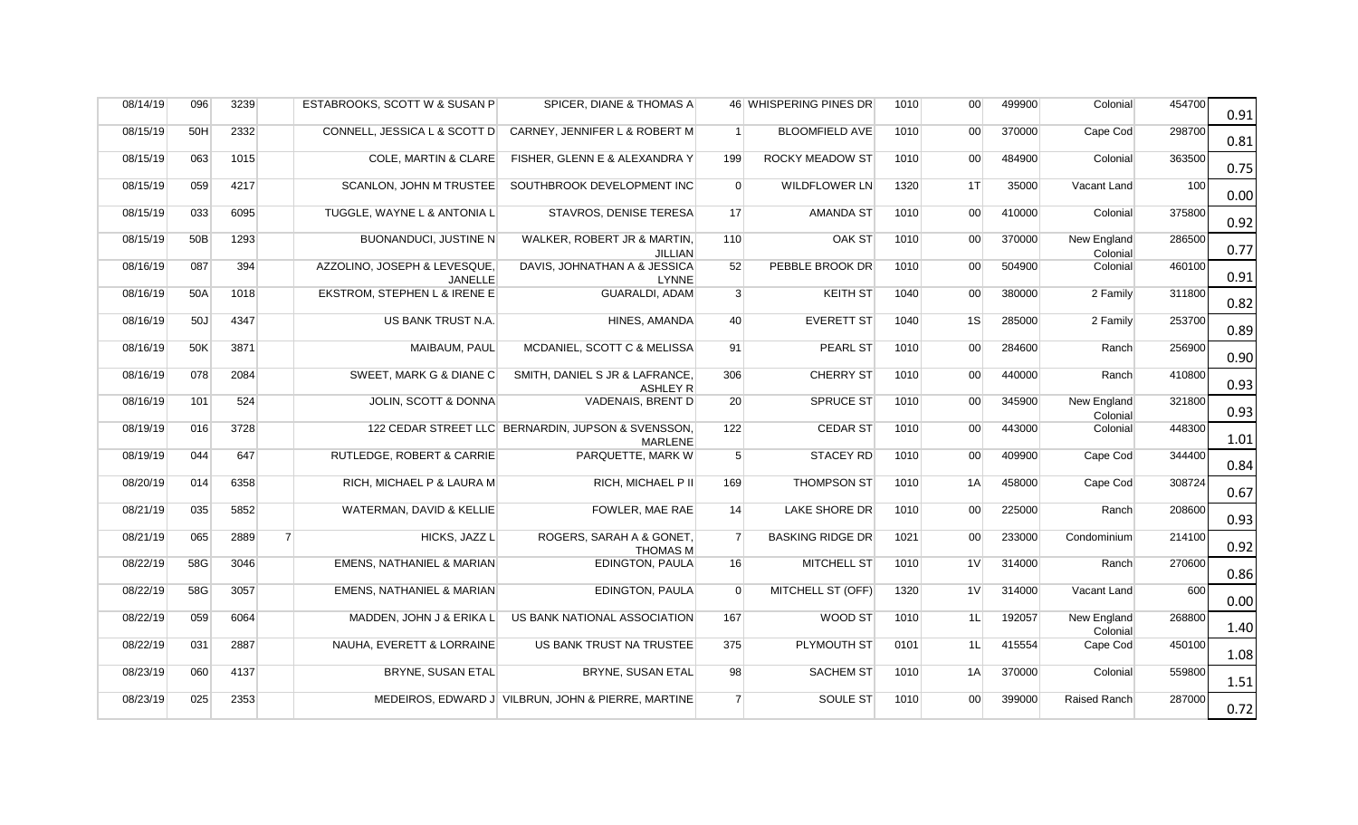| 08/14/19 | 096 | 3239 |                | ESTABROOKS, SCOTT W & SUSAN P                  | SPICER, DIANE & THOMAS A                                             |                | 46 WHISPERING PINES DR  | 1010 | 00 <sup>1</sup> | 499900 | Colonial                | 454700 | 0.91 |
|----------|-----|------|----------------|------------------------------------------------|----------------------------------------------------------------------|----------------|-------------------------|------|-----------------|--------|-------------------------|--------|------|
| 08/15/19 | 50H | 2332 |                | CONNELL, JESSICA L & SCOTT D                   | CARNEY, JENNIFER L & ROBERT M                                        | $\overline{1}$ | <b>BLOOMFIELD AVE</b>   | 1010 | 00 <sup>1</sup> | 370000 | Cape Cod                | 298700 | 0.81 |
| 08/15/19 | 063 | 1015 |                | COLE, MARTIN & CLARE                           | FISHER, GLENN E & ALEXANDRA Y                                        | 199            | <b>ROCKY MEADOW ST</b>  | 1010 | 00 <sup>1</sup> | 484900 | Colonial                | 363500 | 0.75 |
| 08/15/19 | 059 | 4217 |                | <b>SCANLON. JOHN M TRUSTEE</b>                 | SOUTHBROOK DEVELOPMENT INC                                           | $\overline{0}$ | <b>WILDFLOWER LN</b>    | 1320 | $1$ T           | 35000  | Vacant Land             | 100    | 0.00 |
| 08/15/19 | 033 | 6095 |                | TUGGLE, WAYNE L & ANTONIA L                    | STAVROS, DENISE TERESA                                               | 17             | AMANDA ST               | 1010 | 00 <sup>1</sup> | 410000 | Colonial                | 375800 | 0.92 |
| 08/15/19 | 50B | 1293 |                | <b>BUONANDUCI, JUSTINE N</b>                   | WALKER, ROBERT JR & MARTIN,<br><b>JILLIAN</b>                        | 110            | OAK ST                  | 1010 | 00 <sup>1</sup> | 370000 | New England<br>Colonial | 286500 | 0.77 |
| 08/16/19 | 087 | 394  |                | AZZOLINO, JOSEPH & LEVESQUE,<br><b>JANELLE</b> | DAVIS, JOHNATHAN A & JESSICA<br><b>LYNNE</b>                         | 52             | PEBBLE BROOK DR         | 1010 | 00 <sup>1</sup> | 504900 | Colonial                | 460100 | 0.91 |
| 08/16/19 | 50A | 1018 |                | EKSTROM, STEPHEN L & IRENE E                   | <b>GUARALDI, ADAM</b>                                                | 3              | <b>KEITH ST</b>         | 1040 | 00 <sup>1</sup> | 380000 | 2 Family                | 311800 | 0.82 |
| 08/16/19 | 50J | 4347 |                | US BANK TRUST N.A.                             | HINES, AMANDA                                                        | 40             | <b>EVERETT ST</b>       | 1040 | 1S              | 285000 | 2 Family                | 253700 | 0.89 |
| 08/16/19 | 50K | 3871 |                | MAIBAUM, PAUL                                  | MCDANIEL, SCOTT C & MELISSA                                          | 91             | PEARL ST                | 1010 | 00 <sup>1</sup> | 284600 | Ranch                   | 256900 | 0.90 |
| 08/16/19 | 078 | 2084 |                | SWEET, MARK G & DIANE C                        | SMITH, DANIEL S JR & LAFRANCE,<br>ASHLEY R                           | 306            | <b>CHERRY ST</b>        | 1010 | 00 <sup>1</sup> | 440000 | Ranch                   | 410800 | 0.93 |
| 08/16/19 | 101 | 524  |                | JOLIN, SCOTT & DONNA                           | VADENAIS, BRENT D                                                    | 20             | <b>SPRUCE ST</b>        | 1010 | 00 <sup>1</sup> | 345900 | New England<br>Colonial | 321800 | 0.93 |
| 08/19/19 | 016 | 3728 |                |                                                | 122 CEDAR STREET LLC BERNARDIN, JUPSON & SVENSSON,<br><b>MARLENE</b> | 122            | <b>CEDAR ST</b>         | 1010 | 00 <sup>1</sup> | 443000 | Colonial                | 448300 | 1.01 |
| 08/19/19 | 044 | 647  |                | RUTLEDGE, ROBERT & CARRIE                      | PARQUETTE, MARK W                                                    | 5 <sup>5</sup> | <b>STACEY RD</b>        | 1010 | 00 <sup>1</sup> | 409900 | Cape Cod                | 344400 | 0.84 |
| 08/20/19 | 014 | 6358 |                | RICH, MICHAEL P & LAURA M                      | RICH, MICHAEL P II                                                   | 169            | <b>THOMPSON ST</b>      | 1010 | 1A              | 458000 | Cape Cod                | 308724 | 0.67 |
| 08/21/19 | 035 | 5852 |                | WATERMAN, DAVID & KELLIE                       | FOWLER, MAE RAE                                                      | 14             | LAKE SHORE DR           | 1010 | 00 <sup>1</sup> | 225000 | Ranch                   | 208600 | 0.93 |
| 08/21/19 | 065 | 2889 | $\overline{7}$ | HICKS, JAZZ L                                  | ROGERS, SARAH A & GONET,<br><b>THOMAS M</b>                          | $\overline{7}$ | <b>BASKING RIDGE DR</b> | 1021 | 00 <sup>1</sup> | 233000 | Condominium             | 214100 | 0.92 |
| 08/22/19 | 58G | 3046 |                | EMENS, NATHANIEL & MARIAN                      | <b>EDINGTON, PAULA</b>                                               | 16             | MITCHELL ST             | 1010 | 1 <sup>V</sup>  | 314000 | Ranch                   | 270600 | 0.86 |
| 08/22/19 | 58G | 3057 |                | EMENS, NATHANIEL & MARIAN                      | EDINGTON, PAULA                                                      | $\Omega$       | MITCHELL ST (OFF)       | 1320 | 1 <sup>V</sup>  | 314000 | Vacant Land             | 600    | 0.00 |
| 08/22/19 | 059 | 6064 |                | MADDEN, JOHN J & ERIKA L                       | US BANK NATIONAL ASSOCIATION                                         | 167            | WOOD ST                 | 1010 | 1L              | 192057 | New England<br>Colonial | 268800 | 1.40 |
| 08/22/19 | 031 | 2887 |                | NAUHA, EVERETT & LORRAINE                      | US BANK TRUST NA TRUSTEE                                             | 375            | PLYMOUTH ST             | 0101 | 1L              | 415554 | Cape Cod                | 450100 | 1.08 |
| 08/23/19 | 060 | 4137 |                | BRYNE, SUSAN ETAL                              | BRYNE, SUSAN ETAL                                                    | 98             | <b>SACHEM ST</b>        | 1010 | 1A              | 370000 | Colonial                | 559800 | 1.51 |
| 08/23/19 | 025 | 2353 |                |                                                | MEDEIROS, EDWARD J VILBRUN, JOHN & PIERRE, MARTINE                   | $\overline{7}$ | SOULE ST                | 1010 | 00 <sup>1</sup> | 399000 | Raised Ranch            | 287000 | 0.72 |